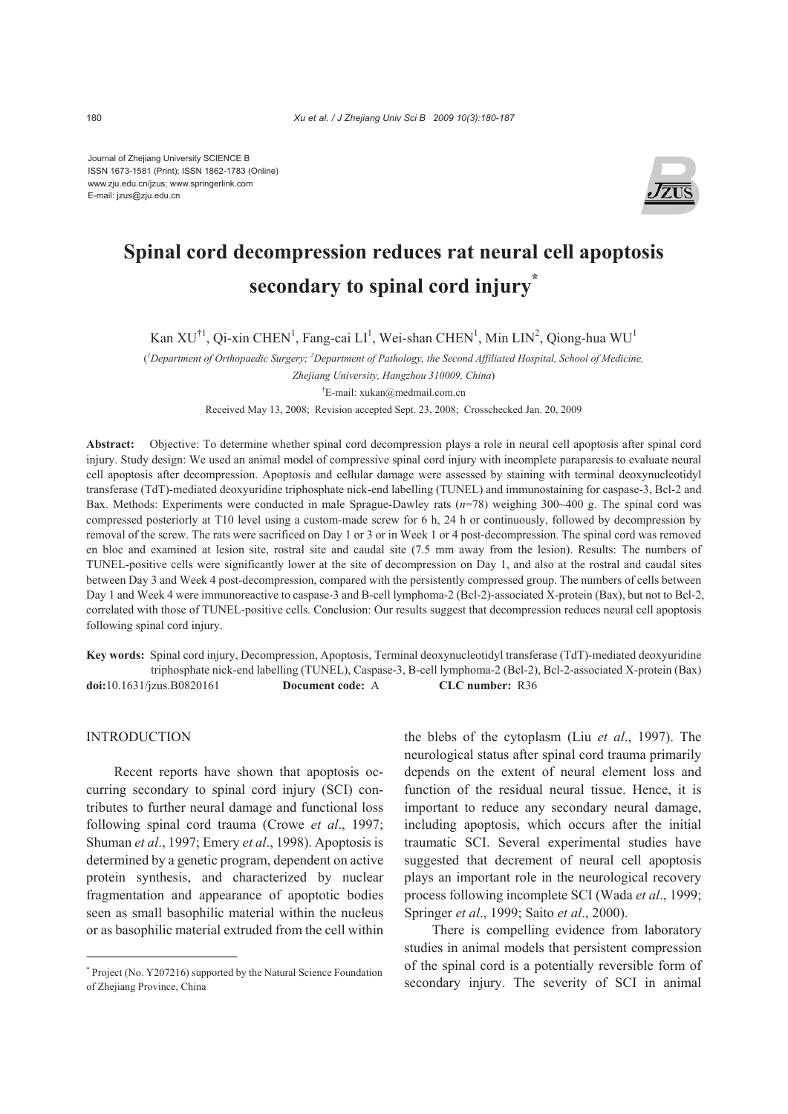Journal of Zhejiang University SCIENCE B ISSN 1673-1581 (Print); ISSN 1862-1783 (Online) www.zju.edu.cn/jzus; www.springerlink.com E-mail: jzus@zju.edu.cn



# **Spinal cord decompression reduces rat neural cell apoptosis secondary to spinal cord injury\***

Kan XU<sup>†1</sup>, Qi-xin CHEN<sup>1</sup>, Fang-cai LI<sup>1</sup>, Wei-shan CHEN<sup>1</sup>, Min LIN<sup>2</sup>, Qiong-hua WU<sup>1</sup>

( *1 Department of Orthopaedic Surgery; 2 Department of Pathology, the Second Affiliated Hospital, School of Medicine,* 

*Zhejiang University, Hangzhou 310009, China*)

† E-mail: xukan@medmail.com.cn

Received May 13, 2008; Revision accepted Sept. 23, 2008; Crosschecked Jan. 20, 2009

**Abstract:** Objective: To determine whether spinal cord decompression plays a role in neural cell apoptosis after spinal cord injury. Study design: We used an animal model of compressive spinal cord injury with incomplete paraparesis to evaluate neural cell apoptosis after decompression. Apoptosis and cellular damage were assessed by staining with terminal deoxynucleotidyl transferase (TdT)-mediated deoxyuridine triphosphate nick-end labelling (TUNEL) and immunostaining for caspase-3, Bcl-2 and Bax. Methods: Experiments were conducted in male Sprague-Dawley rats (*n*=78) weighing 300~400 g. The spinal cord was compressed posteriorly at T10 level using a custom-made screw for 6 h, 24 h or continuously, followed by decompression by removal of the screw. The rats were sacrificed on Day 1 or 3 or in Week 1 or 4 post-decompression. The spinal cord was removed en bloc and examined at lesion site, rostral site and caudal site (7.5 mm away from the lesion). Results: The numbers of TUNEL-positive cells were significantly lower at the site of decompression on Day 1, and also at the rostral and caudal sites between Day 3 and Week 4 post-decompression, compared with the persistently compressed group. The numbers of cells between Day 1 and Week 4 were immunoreactive to caspase-3 and B-cell lymphoma-2 (Bcl-2)-associated X-protein (Bax), but not to Bcl-2, correlated with those of TUNEL-positive cells. Conclusion: Our results suggest that decompression reduces neural cell apoptosis following spinal cord injury.

**Key words:** Spinal cord injury, Decompression, Apoptosis, Terminal deoxynucleotidyl transferase (TdT)-mediated deoxyuridine triphosphate nick-end labelling (TUNEL), Caspase-3, B-cell lymphoma-2 (Bcl-2), Bcl-2-associated X-protein (Bax) **doi:**10.1631/jzus.B0820161 **Document code:** A **CLC number:** R36

## INTRODUCTION

Recent reports have shown that apoptosis occurring secondary to spinal cord injury (SCI) contributes to further neural damage and functional loss following spinal cord trauma (Crowe *et al*., 1997; Shuman *et al*., 1997; Emery *et al*., 1998). Apoptosis is determined by a genetic program, dependent on active protein synthesis, and characterized by nuclear fragmentation and appearance of apoptotic bodies seen as small basophilic material within the nucleus or as basophilic material extruded from the cell within the blebs of the cytoplasm (Liu *et al*., 1997). The neurological status after spinal cord trauma primarily depends on the extent of neural element loss and function of the residual neural tissue. Hence, it is important to reduce any secondary neural damage, including apoptosis, which occurs after the initial traumatic SCI. Several experimental studies have suggested that decrement of neural cell apoptosis plays an important role in the neurological recovery process following incomplete SCI (Wada *et al*., 1999; Springer *et al*., 1999; Saito *et al*., 2000).

There is compelling evidence from laboratory studies in animal models that persistent compression of the spinal cord is a potentially reversible form of secondary injury. The severity of SCI in animal

<sup>\*</sup> Project (No. Y207216) supported by the Natural Science Foundation of Zhejiang Province, China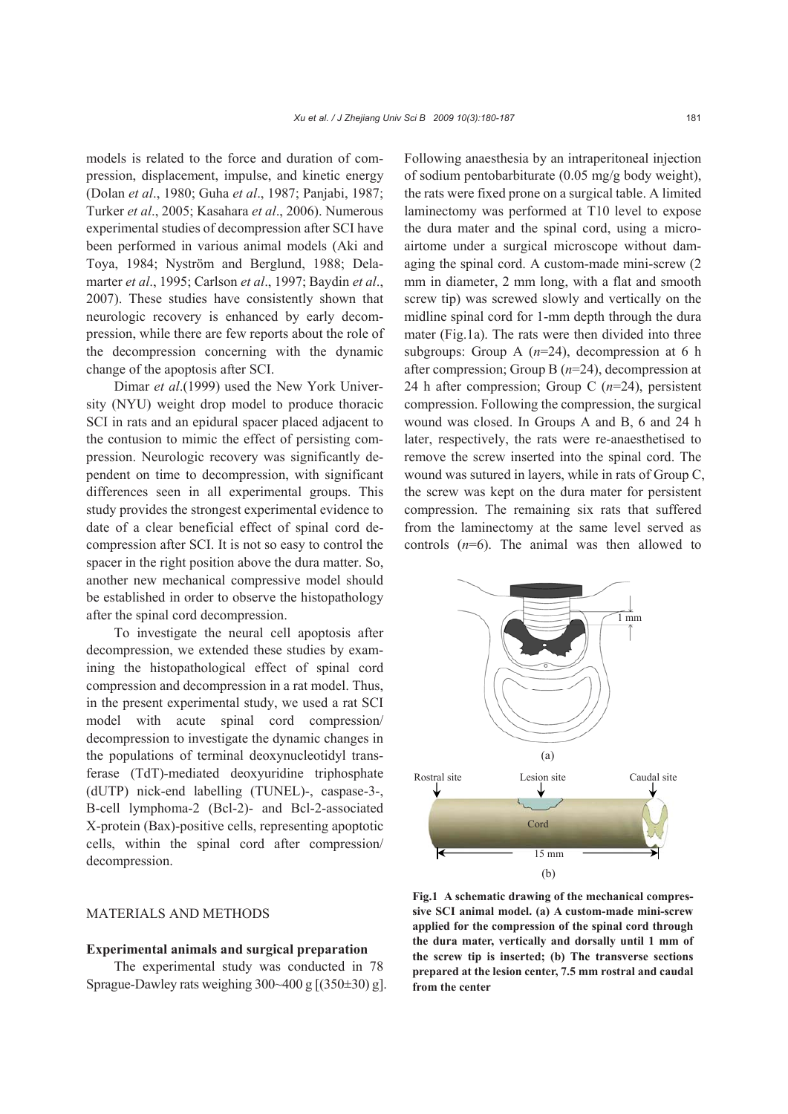models is related to the force and duration of compression, displacement, impulse, and kinetic energy (Dolan *et al*., 1980; Guha *et al*., 1987; Panjabi, 1987; Turker *et al*., 2005; Kasahara *et al*., 2006). Numerous experimental studies of decompression after SCI have been performed in various animal models (Aki and Toya, 1984; Nyström and Berglund, 1988; Delamarter *et al*., 1995; Carlson *et al*., 1997; Baydin *et al*., 2007). These studies have consistently shown that neurologic recovery is enhanced by early decompression, while there are few reports about the role of the decompression concerning with the dynamic change of the apoptosis after SCI.

Dimar *et al*.(1999) used the New York University (NYU) weight drop model to produce thoracic SCI in rats and an epidural spacer placed adjacent to the contusion to mimic the effect of persisting compression. Neurologic recovery was significantly dependent on time to decompression, with significant differences seen in all experimental groups. This study provides the strongest experimental evidence to date of a clear beneficial effect of spinal cord decompression after SCI. It is not so easy to control the spacer in the right position above the dura matter. So, another new mechanical compressive model should be established in order to observe the histopathology after the spinal cord decompression.

To investigate the neural cell apoptosis after decompression, we extended these studies by examining the histopathological effect of spinal cord compression and decompression in a rat model. Thus, in the present experimental study, we used a rat SCI model with acute spinal cord compression/ decompression to investigate the dynamic changes in the populations of terminal deoxynucleotidyl transferase (TdT)-mediated deoxyuridine triphosphate (dUTP) nick-end labelling (TUNEL)-, caspase-3-, B-cell lymphoma-2 (Bcl-2)- and Bcl-2-associated X-protein (Bax)-positive cells, representing apoptotic cells, within the spinal cord after compression/ decompression.

## MATERIALS AND METHODS

#### **Experimental animals and surgical preparation**

The experimental study was conducted in 78 Sprague-Dawley rats weighing  $300~400$  g  $[(350±30)$  g]. Following anaesthesia by an intraperitoneal injection of sodium pentobarbiturate (0.05 mg/g body weight), the rats were fixed prone on a surgical table. A limited laminectomy was performed at T10 level to expose the dura mater and the spinal cord, using a microairtome under a surgical microscope without damaging the spinal cord. A custom-made mini-screw (2 mm in diameter, 2 mm long, with a flat and smooth screw tip) was screwed slowly and vertically on the midline spinal cord for 1-mm depth through the dura mater (Fig.1a). The rats were then divided into three subgroups: Group A (*n*=24), decompression at 6 h after compression; Group B (*n*=24), decompression at 24 h after compression; Group C (*n*=24), persistent compression. Following the compression, the surgical wound was closed. In Groups A and B, 6 and 24 h later, respectively, the rats were re-anaesthetised to remove the screw inserted into the spinal cord. The wound was sutured in layers, while in rats of Group C, the screw was kept on the dura mater for persistent compression. The remaining six rats that suffered from the laminectomy at the same level served as controls (*n*=6). The animal was then allowed to



**Fig.1 A schematic drawing of the mechanical compressive SCI animal model. (a) A custom-made mini-screw applied for the compression of the spinal cord through the dura mater, vertically and dorsally until 1 mm of the screw tip is inserted; (b) The transverse sections prepared at the lesion center, 7.5 mm rostral and caudal from the center**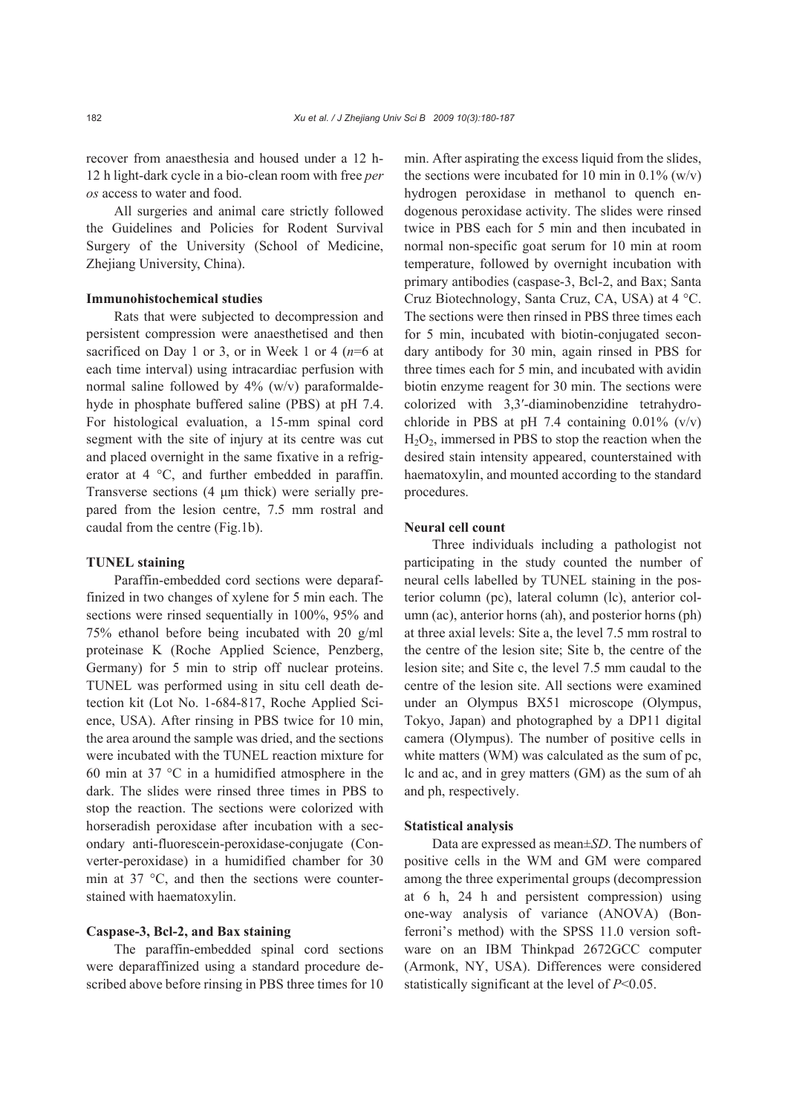recover from anaesthesia and housed under a 12 h-12 h light-dark cycle in a bio-clean room with free *per os* access to water and food.

All surgeries and animal care strictly followed the Guidelines and Policies for Rodent Survival Surgery of the University (School of Medicine, Zhejiang University, China).

#### **Immunohistochemical studies**

Rats that were subjected to decompression and persistent compression were anaesthetised and then sacrificed on Day 1 or 3, or in Week 1 or 4 (*n*=6 at each time interval) using intracardiac perfusion with normal saline followed by 4% (w/v) paraformaldehyde in phosphate buffered saline (PBS) at pH 7.4. For histological evaluation, a 15-mm spinal cord segment with the site of injury at its centre was cut and placed overnight in the same fixative in a refrigerator at 4 °C, and further embedded in paraffin. Transverse sections (4 μm thick) were serially prepared from the lesion centre, 7.5 mm rostral and caudal from the centre (Fig.1b).

#### **TUNEL staining**

Paraffin-embedded cord sections were deparaffinized in two changes of xylene for 5 min each. The sections were rinsed sequentially in 100%, 95% and 75% ethanol before being incubated with 20 g/ml proteinase K (Roche Applied Science, Penzberg, Germany) for 5 min to strip off nuclear proteins. TUNEL was performed using in situ cell death detection kit (Lot No. 1-684-817, Roche Applied Science, USA). After rinsing in PBS twice for 10 min, the area around the sample was dried, and the sections were incubated with the TUNEL reaction mixture for 60 min at 37 °C in a humidified atmosphere in the dark. The slides were rinsed three times in PBS to stop the reaction. The sections were colorized with horseradish peroxidase after incubation with a secondary anti-fluorescein-peroxidase-conjugate (Converter-peroxidase) in a humidified chamber for 30 min at 37 °C, and then the sections were counterstained with haematoxylin.

#### **Caspase-3, Bcl-2, and Bax staining**

The paraffin-embedded spinal cord sections were deparaffinized using a standard procedure described above before rinsing in PBS three times for 10 min. After aspirating the excess liquid from the slides, the sections were incubated for 10 min in  $0.1\%$  (w/v) hydrogen peroxidase in methanol to quench endogenous peroxidase activity. The slides were rinsed twice in PBS each for 5 min and then incubated in normal non-specific goat serum for 10 min at room temperature, followed by overnight incubation with primary antibodies (caspase-3, Bcl-2, and Bax; Santa Cruz Biotechnology, Santa Cruz, CA, USA) at 4 °C. The sections were then rinsed in PBS three times each for 5 min, incubated with biotin-conjugated secondary antibody for 30 min, again rinsed in PBS for three times each for 5 min, and incubated with avidin biotin enzyme reagent for 30 min. The sections were colorized with 3,3′-diaminobenzidine tetrahydrochloride in PBS at pH 7.4 containing  $0.01\%$  (v/v)  $H<sub>2</sub>O<sub>2</sub>$ , immersed in PBS to stop the reaction when the desired stain intensity appeared, counterstained with haematoxylin, and mounted according to the standard procedures.

## **Neural cell count**

Three individuals including a pathologist not participating in the study counted the number of neural cells labelled by TUNEL staining in the posterior column (pc), lateral column (lc), anterior column (ac), anterior horns (ah), and posterior horns (ph) at three axial levels: Site a, the level 7.5 mm rostral to the centre of the lesion site; Site b, the centre of the lesion site; and Site c, the level 7.5 mm caudal to the centre of the lesion site. All sections were examined under an Olympus BX51 microscope (Olympus, Tokyo, Japan) and photographed by a DP11 digital camera (Olympus). The number of positive cells in white matters (WM) was calculated as the sum of pc, lc and ac, and in grey matters (GM) as the sum of ah and ph, respectively.

#### **Statistical analysis**

Data are expressed as mean±*SD*. The numbers of positive cells in the WM and GM were compared among the three experimental groups (decompression at 6 h, 24 h and persistent compression) using one-way analysis of variance (ANOVA) (Bonferroni's method) with the SPSS 11.0 version software on an IBM Thinkpad 2672GCC computer (Armonk, NY, USA). Differences were considered statistically significant at the level of *P*<0.05.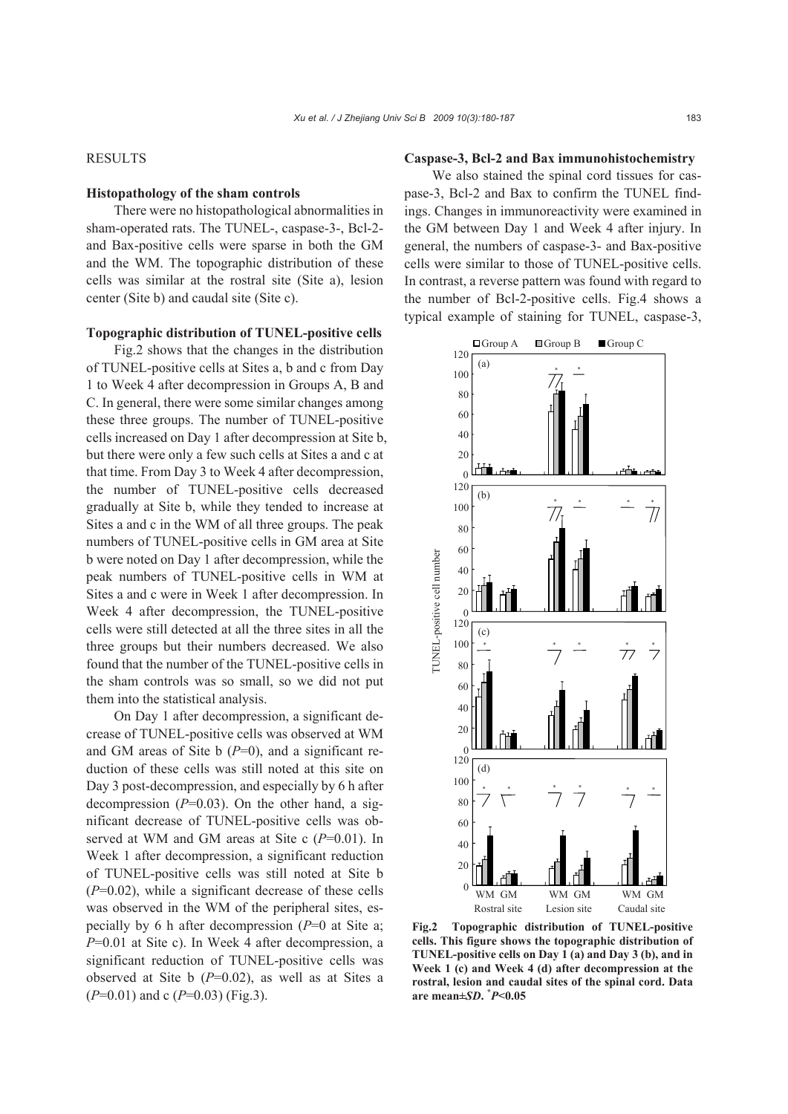### RESULTS

#### **Histopathology of the sham controls**

There were no histopathological abnormalities in sham-operated rats. The TUNEL-, caspase-3-, Bcl-2 and Bax-positive cells were sparse in both the GM and the WM. The topographic distribution of these cells was similar at the rostral site (Site a), lesion center (Site b) and caudal site (Site c).

#### **Topographic distribution of TUNEL-positive cells**

Fig.2 shows that the changes in the distribution of TUNEL-positive cells at Sites a, b and c from Day 1 to Week 4 after decompression in Groups A, B and C. In general, there were some similar changes among these three groups. The number of TUNEL-positive cells increased on Day 1 after decompression at Site b, but there were only a few such cells at Sites a and c at that time. From Day 3 to Week 4 after decompression, the number of TUNEL-positive cells decreased gradually at Site b, while they tended to increase at Sites a and c in the WM of all three groups. The peak numbers of TUNEL-positive cells in GM area at Site b were noted on Day 1 after decompression, while the peak numbers of TUNEL-positive cells in WM at Sites a and c were in Week 1 after decompression. In Week 4 after decompression, the TUNEL-positive cells were still detected at all the three sites in all the three groups but their numbers decreased. We also found that the number of the TUNEL-positive cells in the sham controls was so small, so we did not put them into the statistical analysis.

On Day 1 after decompression, a significant decrease of TUNEL-positive cells was observed at WM and GM areas of Site  $\mathfrak b$  ( $P=0$ ), and a significant reduction of these cells was still noted at this site on Day 3 post-decompression, and especially by 6 h after decompression  $(P=0.03)$ . On the other hand, a significant decrease of TUNEL-positive cells was observed at WM and GM areas at Site c (*P*=0.01). In Week 1 after decompression, a significant reduction of TUNEL-positive cells was still noted at Site b (*P*=0.02), while a significant decrease of these cells was observed in the WM of the peripheral sites, especially by 6 h after decompression (*P*=0 at Site a; *P*=0.01 at Site c). In Week 4 after decompression, a significant reduction of TUNEL-positive cells was observed at Site b (*P*=0.02), as well as at Sites a (*P*=0.01) and c (*P*=0.03) (Fig.3).

#### **Caspase-3, Bcl-2 and Bax immunohistochemistry**

We also stained the spinal cord tissues for caspase-3, Bcl-2 and Bax to confirm the TUNEL findings. Changes in immunoreactivity were examined in the GM between Day 1 and Week 4 after injury. In general, the numbers of caspase-3- and Bax-positive cells were similar to those of TUNEL-positive cells. In contrast, a reverse pattern was found with regard to the number of Bcl-2-positive cells. Fig.4 shows a typical example of staining for TUNEL, caspase-3,



**Fig.2 Topographic distribution of TUNEL-positive cells. This figure shows the topographic distribution of TUNEL-positive cells on Day 1 (a) and Day 3 (b), and in Week 1 (c) and Week 4 (d) after decompression at the rostral, lesion and caudal sites of the spinal cord. Data are mean±***SD***. \*** *P***<0.05**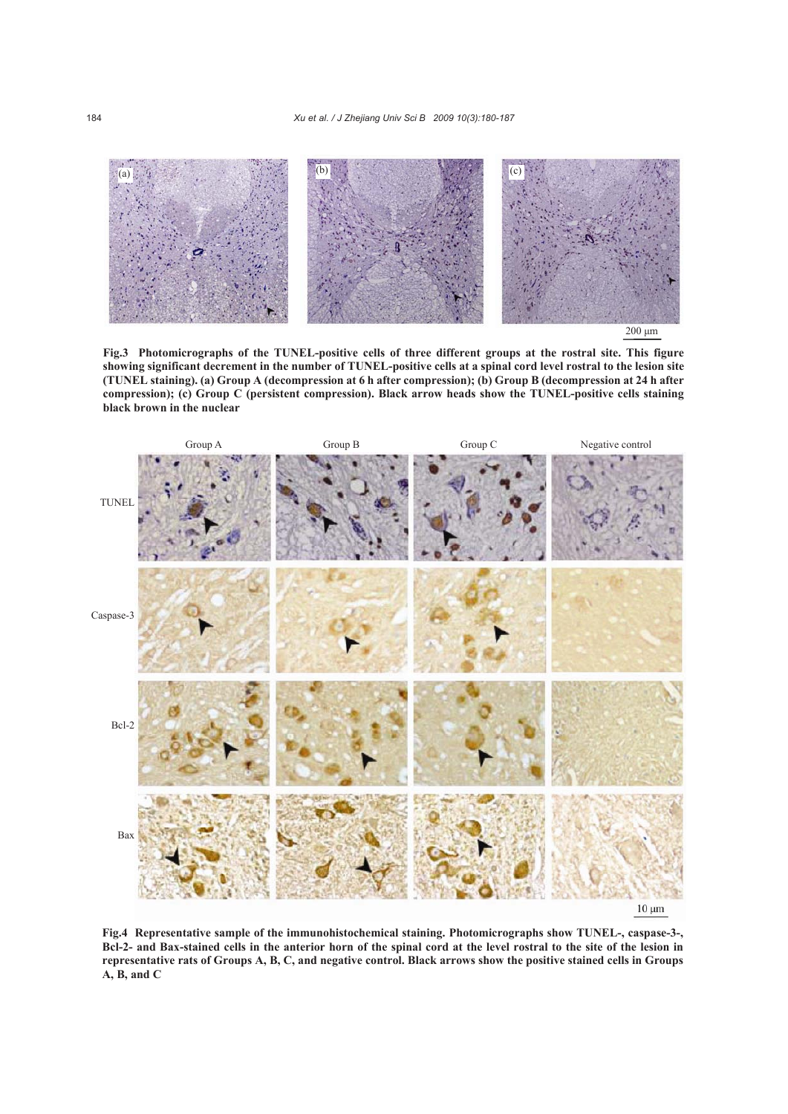

200 μm

**Fig.3 Photomicrographs of the TUNEL-positive cells of three different groups at the rostral site. This figure showing significant decrement in the number of TUNEL-positive cells at a spinal cord level rostral to the lesion site (TUNEL staining). (a) Group A (decompression at 6 h after compression); (b) Group B (decompression at 24 h after compression); (c) Group C (persistent compression). Black arrow heads show the TUNEL-positive cells staining black brown in the nuclear**



**Fig.4 Representative sample of the immunohistochemical staining. Photomicrographs show TUNEL-, caspase-3-, Bcl-2- and Bax-stained cells in the anterior horn of the spinal cord at the level rostral to the site of the lesion in representative rats of Groups A, B, C, and negative control. Black arrows show the positive stained cells in Groups A, B, and C**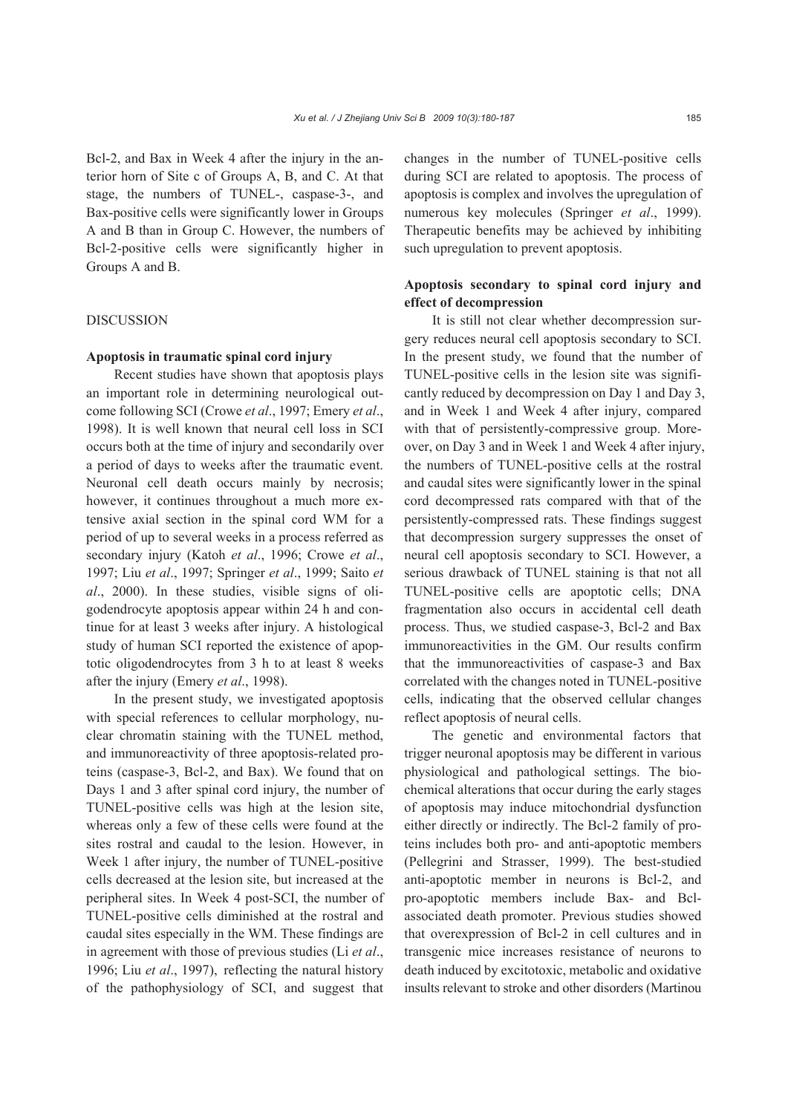Bcl-2, and Bax in Week 4 after the injury in the anterior horn of Site c of Groups A, B, and C. At that stage, the numbers of TUNEL-, caspase-3-, and Bax-positive cells were significantly lower in Groups A and B than in Group C. However, the numbers of Bcl-2-positive cells were significantly higher in Groups A and B.

### DISCUSSION

## **Apoptosis in traumatic spinal cord injury**

Recent studies have shown that apoptosis plays an important role in determining neurological outcome following SCI (Crowe *et al*., 1997; Emery *et al*., 1998). It is well known that neural cell loss in SCI occurs both at the time of injury and secondarily over a period of days to weeks after the traumatic event. Neuronal cell death occurs mainly by necrosis; however, it continues throughout a much more extensive axial section in the spinal cord WM for a period of up to several weeks in a process referred as secondary injury (Katoh *et al*., 1996; Crowe *et al*., 1997; Liu *et al*., 1997; Springer *et al*., 1999; Saito *et al*., 2000). In these studies, visible signs of oligodendrocyte apoptosis appear within 24 h and continue for at least 3 weeks after injury. A histological study of human SCI reported the existence of apoptotic oligodendrocytes from 3 h to at least 8 weeks after the injury (Emery *et al*., 1998).

In the present study, we investigated apoptosis with special references to cellular morphology, nuclear chromatin staining with the TUNEL method, and immunoreactivity of three apoptosis-related proteins (caspase-3, Bcl-2, and Bax). We found that on Days 1 and 3 after spinal cord injury, the number of TUNEL-positive cells was high at the lesion site, whereas only a few of these cells were found at the sites rostral and caudal to the lesion. However, in Week 1 after injury, the number of TUNEL-positive cells decreased at the lesion site, but increased at the peripheral sites. In Week 4 post-SCI, the number of TUNEL-positive cells diminished at the rostral and caudal sites especially in the WM. These findings are in agreement with those of previous studies (Li *et al*., 1996; Liu *et al*., 1997), reflecting the natural history of the pathophysiology of SCI, and suggest that

changes in the number of TUNEL-positive cells during SCI are related to apoptosis. The process of apoptosis is complex and involves the upregulation of numerous key molecules (Springer *et al*., 1999). Therapeutic benefits may be achieved by inhibiting such upregulation to prevent apoptosis.

# **Apoptosis secondary to spinal cord injury and effect of decompression**

It is still not clear whether decompression surgery reduces neural cell apoptosis secondary to SCI. In the present study, we found that the number of TUNEL-positive cells in the lesion site was significantly reduced by decompression on Day 1 and Day 3, and in Week 1 and Week 4 after injury, compared with that of persistently-compressive group. Moreover, on Day 3 and in Week 1 and Week 4 after injury, the numbers of TUNEL-positive cells at the rostral and caudal sites were significantly lower in the spinal cord decompressed rats compared with that of the persistently-compressed rats. These findings suggest that decompression surgery suppresses the onset of neural cell apoptosis secondary to SCI. However, a serious drawback of TUNEL staining is that not all TUNEL-positive cells are apoptotic cells; DNA fragmentation also occurs in accidental cell death process. Thus, we studied caspase-3, Bcl-2 and Bax immunoreactivities in the GM. Our results confirm that the immunoreactivities of caspase-3 and Bax correlated with the changes noted in TUNEL-positive cells, indicating that the observed cellular changes reflect apoptosis of neural cells.

The genetic and environmental factors that trigger neuronal apoptosis may be different in various physiological and pathological settings. The biochemical alterations that occur during the early stages of apoptosis may induce mitochondrial dysfunction either directly or indirectly. The Bcl-2 family of proteins includes both pro- and anti-apoptotic members (Pellegrini and Strasser, 1999). The best-studied anti-apoptotic member in neurons is Bcl-2, and pro-apoptotic members include Bax- and Bclassociated death promoter. Previous studies showed that overexpression of Bcl-2 in cell cultures and in transgenic mice increases resistance of neurons to death induced by excitotoxic, metabolic and oxidative insults relevant to stroke and other disorders (Martinou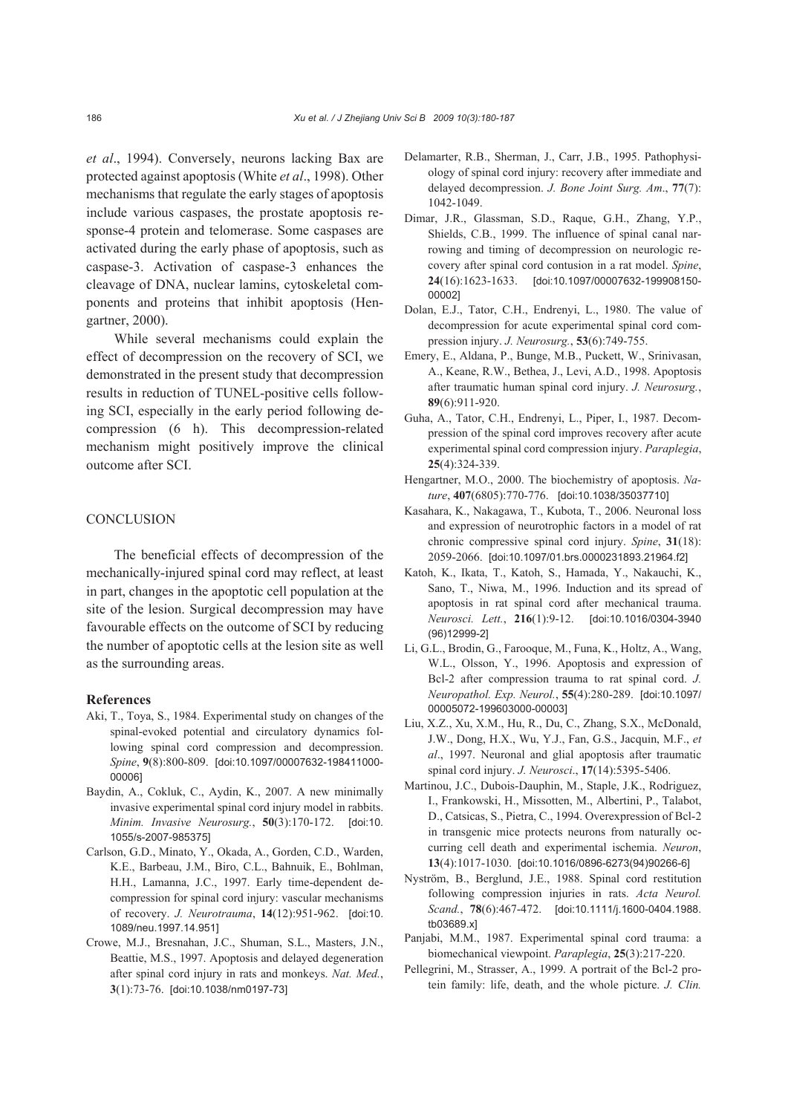*et al*., 1994). Conversely, neurons lacking Bax are protected against apoptosis (White *et al*., 1998). Other mechanisms that regulate the early stages of apoptosis include various caspases, the prostate apoptosis response-4 protein and telomerase. Some caspases are activated during the early phase of apoptosis, such as caspase-3. Activation of caspase-3 enhances the cleavage of DNA, nuclear lamins, cytoskeletal components and proteins that inhibit apoptosis (Hengartner, 2000).

While several mechanisms could explain the effect of decompression on the recovery of SCI, we demonstrated in the present study that decompression results in reduction of TUNEL-positive cells following SCI, especially in the early period following decompression (6 h). This decompression-related mechanism might positively improve the clinical outcome after SCI.

#### **CONCLUSION**

The beneficial effects of decompression of the mechanically-injured spinal cord may reflect, at least in part, changes in the apoptotic cell population at the site of the lesion. Surgical decompression may have favourable effects on the outcome of SCI by reducing the number of apoptotic cells at the lesion site as well as the surrounding areas.

#### **References**

- Aki, T., Toya, S., 1984. Experimental study on changes of the spinal-evoked potential and circulatory dynamics following spinal cord compression and decompression. *Spine*, **9**(8):800-809. [doi:10.1097/00007632-198411000- 00006]
- Baydin, A., Cokluk, C., Aydin, K., 2007. A new minimally invasive experimental spinal cord injury model in rabbits. *Minim. Invasive Neurosurg.*, **50**(3):170-172. [doi:10. 1055/s-2007-985375]
- Carlson, G.D., Minato, Y., Okada, A., Gorden, C.D., Warden, K.E., Barbeau, J.M., Biro, C.L., Bahnuik, E., Bohlman, H.H., Lamanna, J.C., 1997. Early time-dependent decompression for spinal cord injury: vascular mechanisms of recovery. *J. Neurotrauma*, **14**(12):951-962. [doi:10. 1089/neu.1997.14.951]
- Crowe, M.J., Bresnahan, J.C., Shuman, S.L., Masters, J.N., Beattie, M.S., 1997. Apoptosis and delayed degeneration after spinal cord injury in rats and monkeys. *Nat. Med.*, **3**(1):73-76. [doi:10.1038/nm0197-73]
- Delamarter, R.B., Sherman, J., Carr, J.B., 1995. Pathophysiology of spinal cord injury: recovery after immediate and delayed decompression. *J. Bone Joint Surg. Am*., **77**(7): 1042-1049.
- Dimar, J.R., Glassman, S.D., Raque, G.H., Zhang, Y.P., Shields, C.B., 1999. The influence of spinal canal narrowing and timing of decompression on neurologic recovery after spinal cord contusion in a rat model. *Spine*, **24**(16):1623-1633. [doi:10.1097/00007632-199908150- 00002]
- Dolan, E.J., Tator, C.H., Endrenyi, L., 1980. The value of decompression for acute experimental spinal cord compression injury. *J. Neurosurg.*, **53**(6):749-755.
- Emery, E., Aldana, P., Bunge, M.B., Puckett, W., Srinivasan, A., Keane, R.W., Bethea, J., Levi, A.D., 1998. Apoptosis after traumatic human spinal cord injury. *J. Neurosurg.*, **89**(6):911-920.
- Guha, A., Tator, C.H., Endrenyi, L., Piper, I., 1987. Decompression of the spinal cord improves recovery after acute experimental spinal cord compression injury. *Paraplegia*, **25**(4):324-339.
- Hengartner, M.O., 2000. The biochemistry of apoptosis. *Nature*, **407**(6805):770-776. [doi:10.1038/35037710]
- Kasahara, K., Nakagawa, T., Kubota, T., 2006. Neuronal loss and expression of neurotrophic factors in a model of rat chronic compressive spinal cord injury. *Spine*, **31**(18): 2059-2066. [doi:10.1097/01.brs.0000231893.21964.f2]
- Katoh, K., Ikata, T., Katoh, S., Hamada, Y., Nakauchi, K., Sano, T., Niwa, M., 1996. Induction and its spread of apoptosis in rat spinal cord after mechanical trauma. *Neurosci. Lett.*, **216**(1):9-12. [doi:10.1016/0304-3940 (96)12999-2]
- Li, G.L., Brodin, G., Farooque, M., Funa, K., Holtz, A., Wang, W.L., Olsson, Y., 1996. Apoptosis and expression of Bcl-2 after compression trauma to rat spinal cord. *J. Neuropathol. Exp. Neurol.*, **55**(4):280-289. [doi:10.1097/ 00005072-199603000-00003]
- Liu, X.Z., Xu, X.M., Hu, R., Du, C., Zhang, S.X., McDonald, J.W., Dong, H.X., Wu, Y.J., Fan, G.S., Jacquin, M.F., *et al*., 1997. Neuronal and glial apoptosis after traumatic spinal cord injury. *J. Neurosci*., **17**(14):5395-5406.
- Martinou, J.C., Dubois-Dauphin, M., Staple, J.K., Rodriguez, I., Frankowski, H., Missotten, M., Albertini, P., Talabot, D., Catsicas, S., Pietra, C., 1994. Overexpression of Bcl-2 in transgenic mice protects neurons from naturally occurring cell death and experimental ischemia. *Neuron*, **13**(4):1017-1030. [doi:10.1016/0896-6273(94)90266-6]
- Nyström, B., Berglund, J.E., 1988. Spinal cord restitution following compression injuries in rats. *Acta Neurol. Scand.*, **78**(6):467-472. [doi:10.1111/j.1600-0404.1988. tb03689.x]
- Panjabi, M.M., 1987. Experimental spinal cord trauma: a biomechanical viewpoint. *Paraplegia*, **25**(3):217-220.
- Pellegrini, M., Strasser, A., 1999. A portrait of the Bcl-2 protein family: life, death, and the whole picture. *J. Clin.*